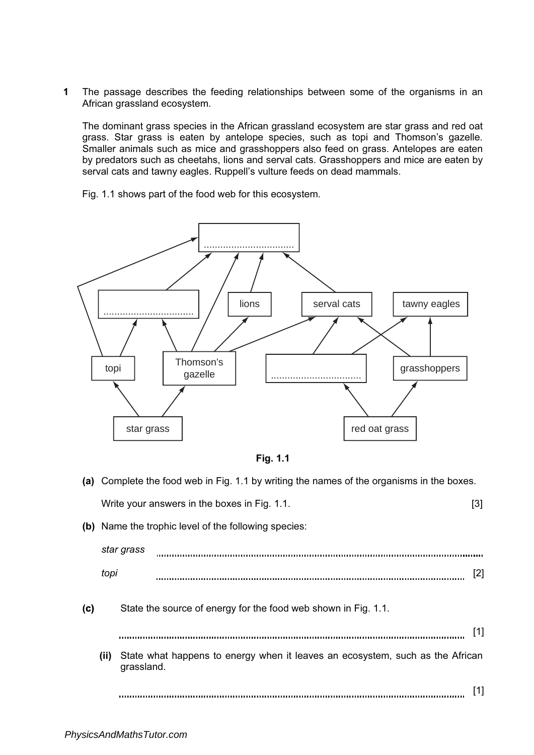1 The passage describes the feeding relationships between some of the organisms in an African grassland ecosystem.

The dominant grass species in the African grassland ecosystem are star grass and red oat grass. Star grass is eaten by antelope species, such as topi and Thomson's gazelle. Smaller animals such as mice and grasshoppers also feed on grass. Antelopes are eaten by predators such as cheetahs, lions and serval cats. Grasshoppers and mice are eaten by serval cats and tawny eagles. Ruppell's vulture feeds on dead mammals.

Fig. 1.1 shows part of the food web for this ecosystem.



Fig. 1.1

|     |      | (a) Complete the food web in Fig. 1.1 by writing the names of the organisms in the boxes.   |     |
|-----|------|---------------------------------------------------------------------------------------------|-----|
|     |      | Write your answers in the boxes in Fig. 1.1.                                                | [3] |
|     |      | (b) Name the trophic level of the following species:                                        |     |
|     |      | star grass                                                                                  |     |
|     | topi |                                                                                             | [2] |
| (c) |      | State the source of energy for the food web shown in Fig. 1.1.                              |     |
|     |      |                                                                                             | [1] |
|     | (ii) | State what happens to energy when it leaves an ecosystem, such as the African<br>grassland. |     |
|     |      |                                                                                             | [1] |
|     |      |                                                                                             |     |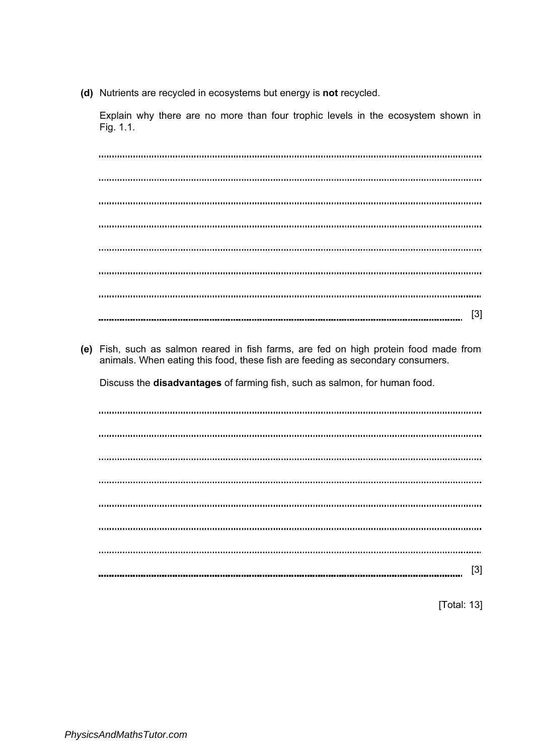(d) Nutrients are recycled in ecosystems but energy is not recycled.

Explain why there are no more than four trophic levels in the ecosystem shown in Fig. 1.1.

[3] (e) Fish, such as salmon reared in fish farms, are fed on high protein food made from animals. When eating this food, these fish are feeding as secondary consumers. Discuss the disadvantages of farming fish, such as salmon, for human food. 

[3] 

[Total: 13]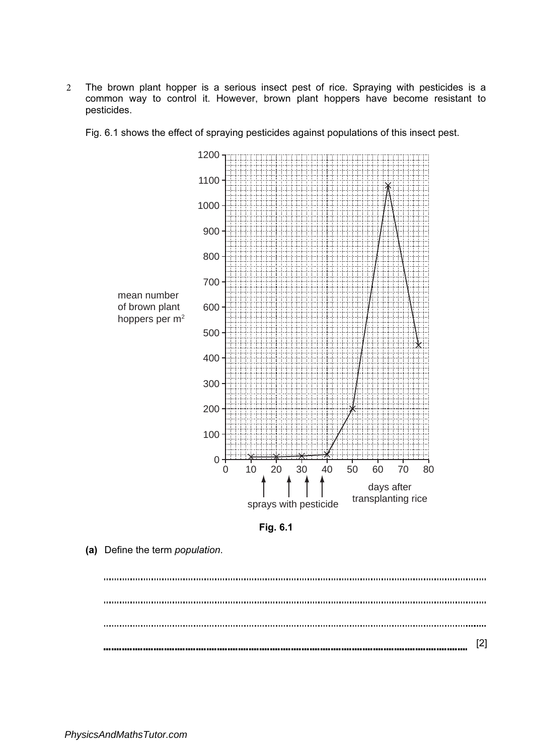2 The brown plant hopper is a serious insect pest of rice. Spraying with pesticides is a common way to control it. However, brown plant hoppers have become resistant to pesticides.

Fig. 6.1 shows the effect of spraying pesticides against populations of this insect pest.





(a) Define the term population.

. . . . . . . . . . [2]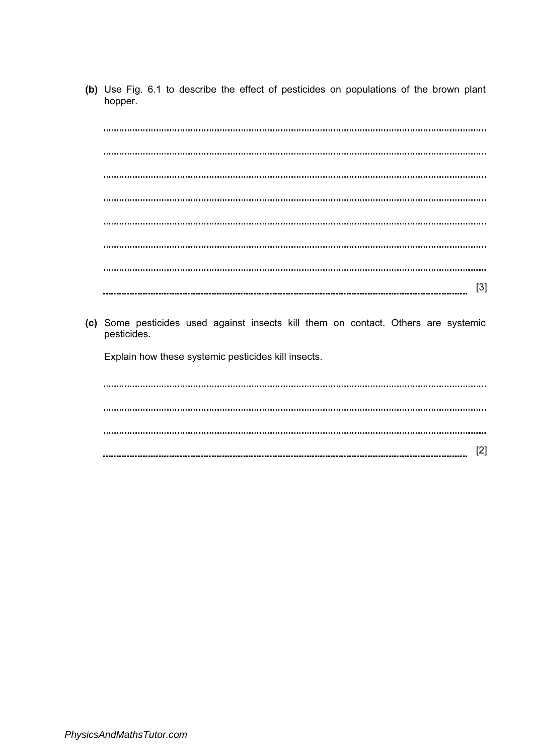(b) Use Fig. 6.1 to describe the effect of pesticides on populations of the brown plant hopper.

[3] 

(c) Some pesticides used against insects kill them on contact. Others are systemic pesticides.

Explain how these systemic pesticides kill insects.

[2]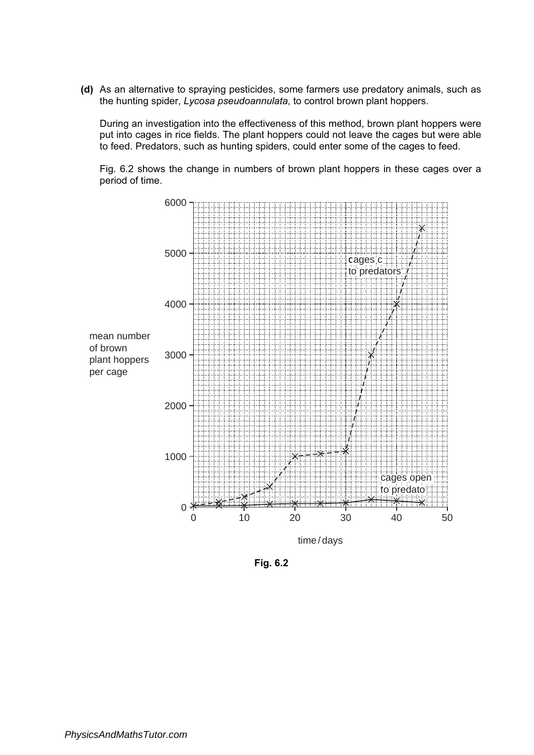(d) As an alternative to spraying pesticides, some farmers use predatory animals, such as the hunting spider, Lycosa pseudoannulata, to control brown plant hoppers.

During an investigation into the effectiveness of this method, brown plant hoppers were put into cages in rice fields. The plant hoppers could not leave the cages but were able to feed. Predators, such as hunting spiders, could enter some of the cages to feed.

Fig. 6.2 shows the change in numbers of brown plant hoppers in these cages over a period of time.



Fig. 6.2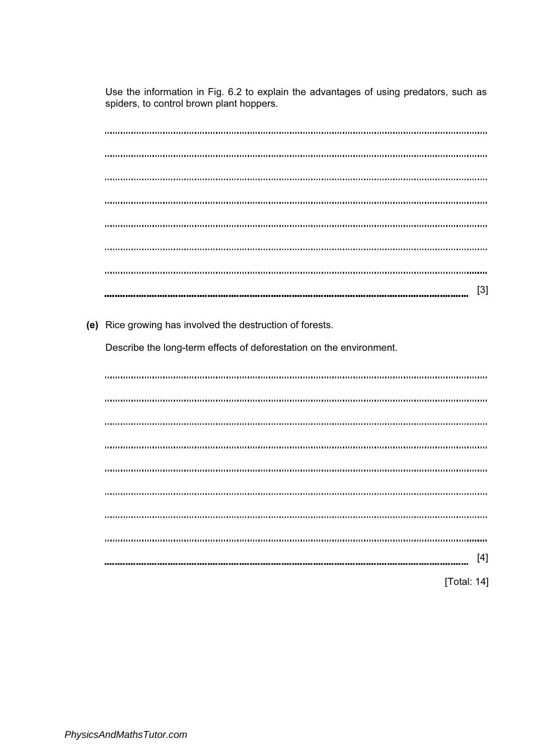Use the information in Fig. 6.2 to explain the advantages of using predators, such as spiders, to control brown plant hoppers.

| $[3]$                                                               |
|---------------------------------------------------------------------|
| (e) Rice growing has involved the destruction of forests.           |
| Describe the long-term effects of deforestation on the environment. |
|                                                                     |
|                                                                     |
|                                                                     |
|                                                                     |
|                                                                     |
|                                                                     |
|                                                                     |

| [Total: 14] |
|-------------|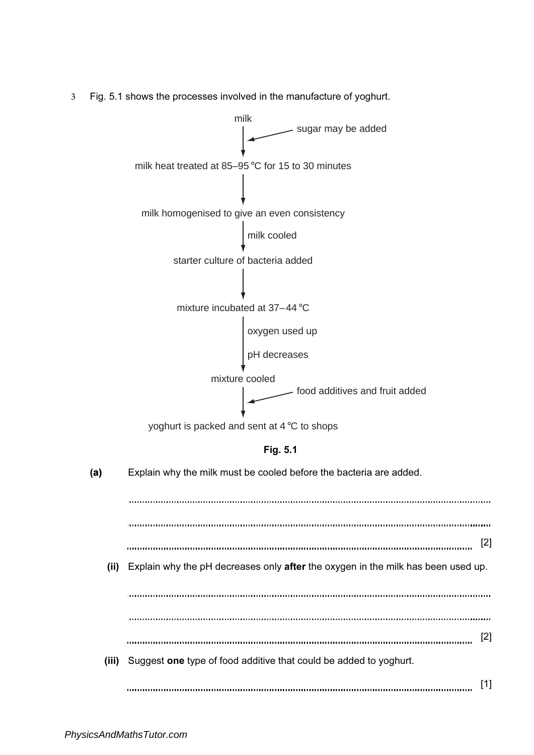3 Fig. 5.1 shows the processes involved in the manufacture of yoghurt.

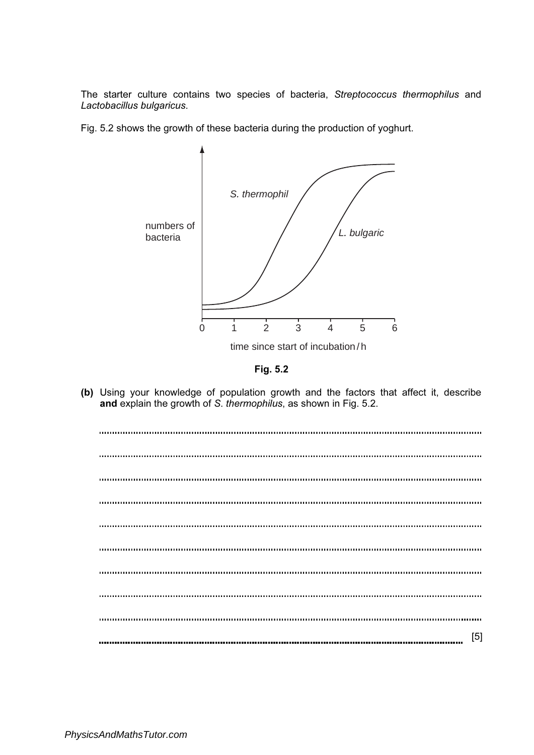The starter culture contains two species of bacteria, Streptococcus thermophilus and Lactobacillus bulgaricus.

Fig. 5.2 shows the growth of these bacteria during the production of yoghurt.



Fig. 5.2

(b) Using your knowledge of population growth and the factors that affect it, describe **and** explain the growth of S. *thermophilus*, as shown in Fig. 5.2.

| [5] |
|-----|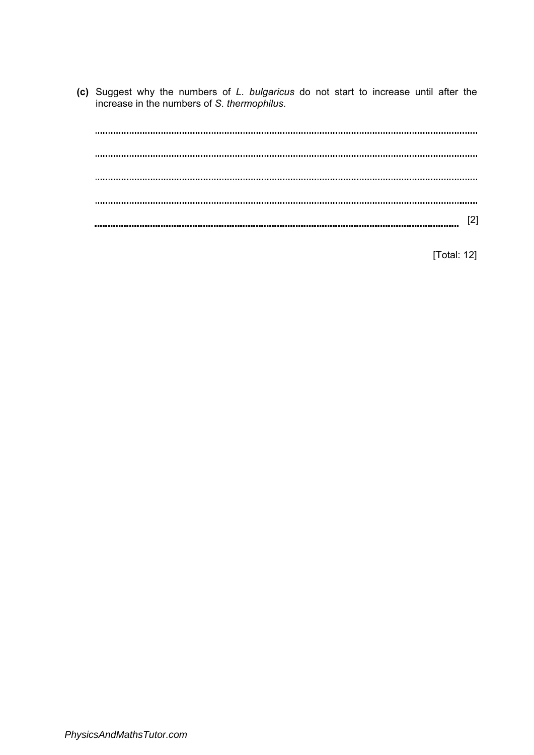(c) Suggest why the numbers of L. bulgaricus do not start to increase until after the increase in the numbers of S. thermophilus.

[2]

[Total: 12]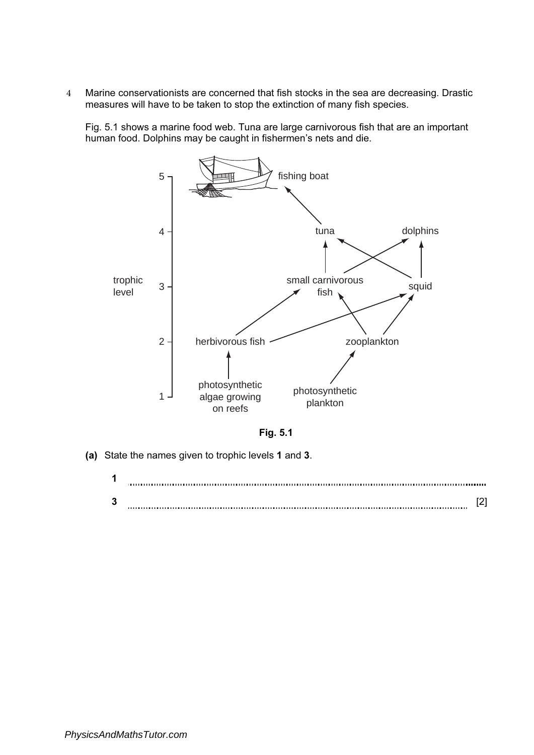4 Marine conservationists are concerned that fish stocks in the sea are decreasing. Drastic measures will have to be taken to stop the extinction of many fish species.

Fig. 5.1 shows a marine food web. Tuna are large carnivorous fish that are an important human food. Dolphins may be caught in fishermen's nets and die.



Fig. 5.1

(a) State the names given to trophic levels 1 and 3.

| ٠      |  |
|--------|--|
| າ<br>w |  |